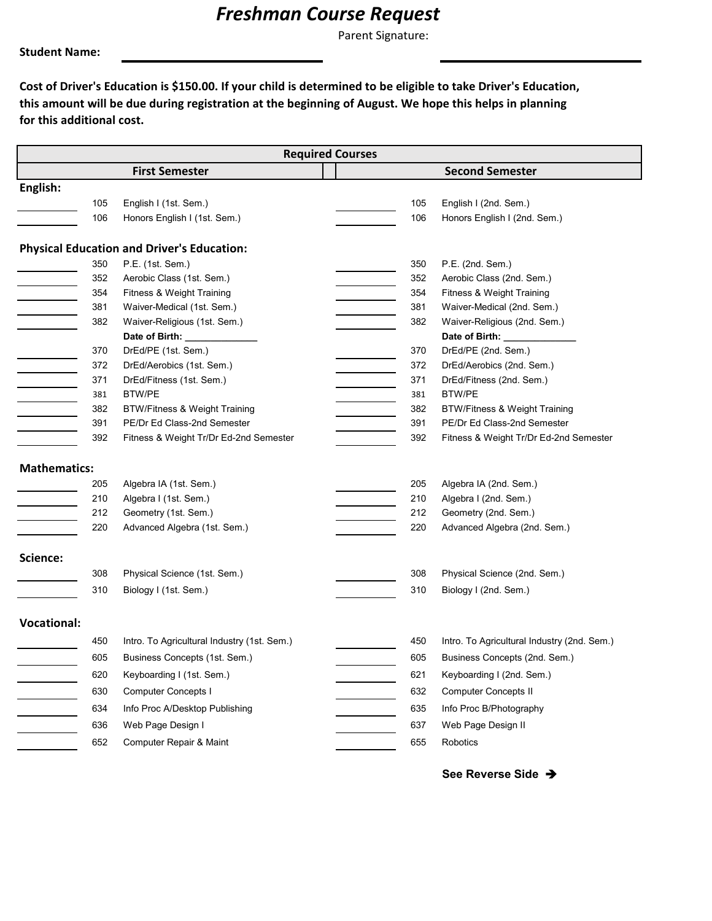## *Freshman Course Request*

Parent Signature:

**Student Name:**

**Cost of Driver's Education is \$150.00. If your child is determined to be eligible to take Driver's Education, this amount will be due during registration at the beginning of August. We hope this helps in planning for this additional cost.** 

| <b>Required Courses</b> |     |                                                   |  |     |                                                |  |  |  |
|-------------------------|-----|---------------------------------------------------|--|-----|------------------------------------------------|--|--|--|
|                         |     | <b>First Semester</b>                             |  |     | <b>Second Semester</b>                         |  |  |  |
| English:                |     |                                                   |  |     |                                                |  |  |  |
|                         | 105 | English I (1st. Sem.)                             |  | 105 | English I (2nd. Sem.)                          |  |  |  |
|                         | 106 | Honors English I (1st. Sem.)                      |  | 106 | Honors English I (2nd. Sem.)                   |  |  |  |
|                         |     |                                                   |  |     |                                                |  |  |  |
|                         |     | <b>Physical Education and Driver's Education:</b> |  |     |                                                |  |  |  |
|                         | 350 | P.E. (1st. Sem.)                                  |  | 350 | P.E. (2nd. Sem.)                               |  |  |  |
|                         | 352 | Aerobic Class (1st. Sem.)                         |  | 352 | Aerobic Class (2nd. Sem.)                      |  |  |  |
|                         | 354 | Fitness & Weight Training                         |  | 354 | Fitness & Weight Training                      |  |  |  |
|                         | 381 | Waiver-Medical (1st. Sem.)                        |  | 381 | Waiver-Medical (2nd. Sem.)                     |  |  |  |
|                         | 382 | Waiver-Religious (1st. Sem.)                      |  | 382 | Waiver-Religious (2nd. Sem.)                   |  |  |  |
|                         | 370 | Date of Birth: _______<br>DrEd/PE (1st. Sem.)     |  | 370 | Date of Birth: ________<br>DrEd/PE (2nd. Sem.) |  |  |  |
|                         | 372 | DrEd/Aerobics (1st. Sem.)                         |  | 372 | DrEd/Aerobics (2nd. Sem.)                      |  |  |  |
|                         | 371 | DrEd/Fitness (1st. Sem.)                          |  | 371 | DrEd/Fitness (2nd. Sem.)                       |  |  |  |
|                         | 381 | <b>BTW/PE</b>                                     |  | 381 | <b>BTW/PE</b>                                  |  |  |  |
|                         | 382 | <b>BTW/Fitness &amp; Weight Training</b>          |  | 382 | <b>BTW/Fitness &amp; Weight Training</b>       |  |  |  |
|                         | 391 | PE/Dr Ed Class-2nd Semester                       |  | 391 | PE/Dr Ed Class-2nd Semester                    |  |  |  |
|                         | 392 | Fitness & Weight Tr/Dr Ed-2nd Semester            |  | 392 | Fitness & Weight Tr/Dr Ed-2nd Semester         |  |  |  |
|                         |     |                                                   |  |     |                                                |  |  |  |
| <b>Mathematics:</b>     |     |                                                   |  |     |                                                |  |  |  |
|                         | 205 | Algebra IA (1st. Sem.)                            |  | 205 | Algebra IA (2nd. Sem.)                         |  |  |  |
|                         | 210 | Algebra I (1st. Sem.)                             |  | 210 | Algebra I (2nd. Sem.)                          |  |  |  |
|                         | 212 | Geometry (1st. Sem.)                              |  | 212 | Geometry (2nd. Sem.)                           |  |  |  |
|                         | 220 | Advanced Algebra (1st. Sem.)                      |  | 220 | Advanced Algebra (2nd. Sem.)                   |  |  |  |
| Science:                |     |                                                   |  |     |                                                |  |  |  |
|                         | 308 | Physical Science (1st. Sem.)                      |  | 308 | Physical Science (2nd. Sem.)                   |  |  |  |
|                         | 310 | Biology I (1st. Sem.)                             |  | 310 | Biology I (2nd. Sem.)                          |  |  |  |
|                         |     |                                                   |  |     |                                                |  |  |  |
| <b>Vocational:</b>      |     |                                                   |  |     |                                                |  |  |  |
|                         | 450 | Intro. To Agricultural Industry (1st. Sem.)       |  | 450 | Intro. To Agricultural Industry (2nd. Sem.)    |  |  |  |
|                         | 605 | Business Concepts (1st. Sem.)                     |  | 605 | Business Concepts (2nd. Sem.)                  |  |  |  |
|                         | 620 | Keyboarding I (1st. Sem.)                         |  | 621 | Keyboarding I (2nd. Sem.)                      |  |  |  |
|                         | 630 | <b>Computer Concepts I</b>                        |  | 632 | <b>Computer Concepts II</b>                    |  |  |  |
|                         | 634 | Info Proc A/Desktop Publishing                    |  | 635 | Info Proc B/Photography                        |  |  |  |
|                         | 636 | Web Page Design I                                 |  | 637 | Web Page Design II                             |  |  |  |
|                         | 652 | Computer Repair & Maint                           |  | 655 | Robotics                                       |  |  |  |
|                         |     |                                                   |  |     |                                                |  |  |  |

**See Reverse Side**